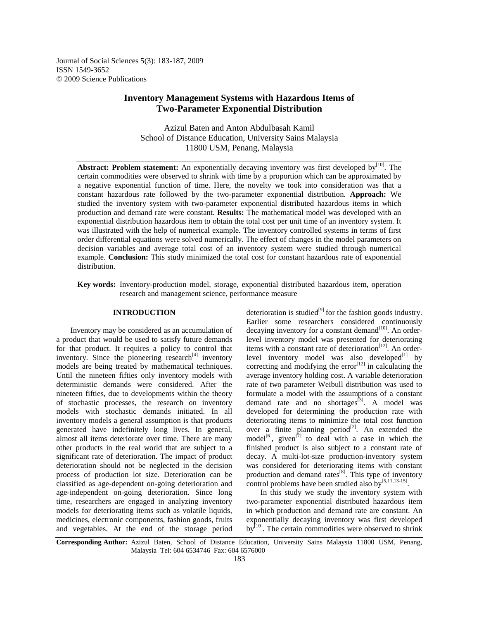Journal of Social Sciences 5(3): 183-187, 2009 ISSN 1549-3652 © 2009 Science Publications

# **Inventory Management Systems with Hazardous Items of Two-Parameter Exponential Distribution**

Azizul Baten and Anton Abdulbasah Kamil School of Distance Education, University Sains Malaysia 11800 USM, Penang, Malaysia

**Abstract: Problem statement:** An exponentially decaying inventory was first developed by<sup>[10]</sup>. The certain commodities were observed to shrink with time by a proportion which can be approximated by a negative exponential function of time. Here, the novelty we took into consideration was that a constant hazardous rate followed by the two-parameter exponential distribution. **Approach:** We studied the inventory system with two-parameter exponential distributed hazardous items in which production and demand rate were constant. **Results:** The mathematical model was developed with an exponential distribution hazardous item to obtain the total cost per unit time of an inventory system. It was illustrated with the help of numerical example. The inventory controlled systems in terms of first order differential equations were solved numerically. The effect of changes in the model parameters on decision variables and average total cost of an inventory system were studied through numerical example. **Conclusion:** This study minimized the total cost for constant hazardous rate of exponential distribution.

**Key words:** Inventory-production model, storage, exponential distributed hazardous item, operation research and management science, performance measure

#### **INTRODUCTION**

 Inventory may be considered as an accumulation of a product that would be used to satisfy future demands for that product. It requires a policy to control that inventory. Since the pioneering research $^{[4]}$  inventory models are being treated by mathematical techniques. Until the nineteen fifties only inventory models with deterministic demands were considered. After the nineteen fifties, due to developments within the theory of stochastic processes, the research on inventory models with stochastic demands initiated. In all inventory models a general assumption is that products generated have indefinitely long lives. In general, almost all items deteriorate over time. There are many other products in the real world that are subject to a significant rate of deterioration. The impact of product deterioration should not be neglected in the decision process of production lot size. Deterioration can be classified as age-dependent on-going deterioration and age-independent on-going deterioration. Since long time, researchers are engaged in analyzing inventory models for deteriorating items such as volatile liquids, medicines, electronic components, fashion goods, fruits and vegetables. At the end of the storage period

deterioration is studied $[9]$  for the fashion goods industry. Earlier some researchers considered continuously decaying inventory for a constant demand $[10]$ . An orderlevel inventory model was presented for deteriorating items with a constant rate of deterioration<sup>[12]</sup>. An orderlevel inventory model was also developed $[1]$  by correcting and modifying the error $[12]$  in calculating the average inventory holding cost. A variable deterioration rate of two parameter Weibull distribution was used to formulate a model with the assumptions of a constant demand rate and no shortages $^{[3]}$ . A model was developed for determining the production rate with deteriorating items to minimize the total cost function over a finite planning period<sup>[2]</sup>. An extended the model<sup>[6]</sup>, given<sup>[7]</sup> to deal with a case in which the finished product is also subject to a constant rate of decay. A multi-lot-size production-inventory system was considered for deteriorating items with constant production and demand rates $^{[8]}$ . This type of inventory control problems have been studied also by $[5,11,13-15]$ .

 In this study we study the inventory system with two-parameter exponential distributed hazardous item in which production and demand rate are constant. An exponentially decaying inventory was first developed  $by<sup>[10]</sup>$ . The certain commodities were observed to shrink

**Corresponding Author:** Azizul Baten, School of Distance Education, University Sains Malaysia 11800 USM, Penang, Malaysia Tel: 604 6534746 Fax: 604 6576000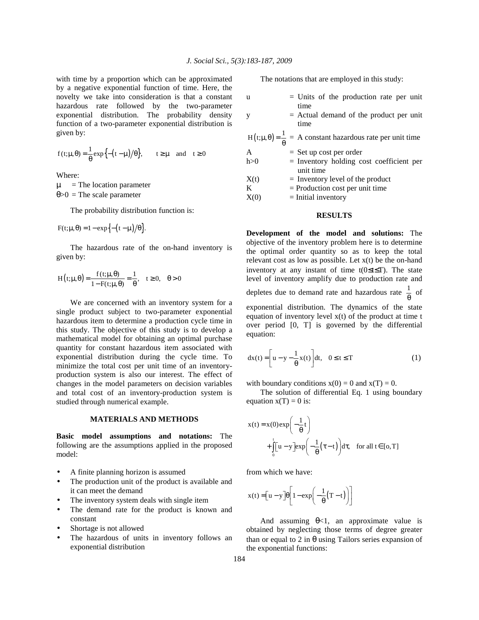with time by a proportion which can be approximated by a negative exponential function of time. Here, the novelty we take into consideration is that a constant hazardous rate followed by the two-parameter exponential distribution. The probability density function of a two-parameter exponential distribution is given by:

$$
f(t;\mu,\theta) = \frac{1}{\theta} \exp\Bigl\{ -\bigl(t-\mu\bigr)/\theta \Bigr\}, \qquad t \geq \mu \quad \text{and} \quad t \geq 0
$$

Where:

 $\mu$  = The location parameter θ>0 = The scale parameter

The probability distribution function is:

$$
F(t; \mu, \theta) = 1 - \exp\left\{-\left(t - \mu\right)/\theta\right\}.
$$

 The hazardous rate of the on-hand inventory is given by:

$$
H(t; \mu, \theta) = \frac{f(t; \mu, \theta)}{1 - F(t; \mu, \theta)} = \frac{1}{\theta}, \quad t \ge 0, \quad \theta > 0
$$

 We are concerned with an inventory system for a single product subject to two-parameter exponential hazardous item to determine a production cycle time in this study. The objective of this study is to develop a mathematical model for obtaining an optimal purchase quantity for constant hazardous item associated with exponential distribution during the cycle time. To minimize the total cost per unit time of an inventoryproduction system is also our interest. The effect of changes in the model parameters on decision variables and total cost of an inventory-production system is studied through numerical example.

## **MATERIALS AND METHODS**

**Basic model assumptions and notations:** The following are the assumptions applied in the proposed model:

- A finite planning horizon is assumed
- The production unit of the product is available and it can meet the demand
- The inventory system deals with single item
- The demand rate for the product is known and constant
- Shortage is not allowed
- The hazardous of units in inventory follows an exponential distribution

The notations that are employed in this study:

| u     | $=$ Units of the production rate per unit                                      |
|-------|--------------------------------------------------------------------------------|
| y     | time<br>$=$ Actual demand of the product per unit<br>time                      |
|       | $H(t;\mu,\theta) = \frac{1}{\theta}$ = A constant hazardous rate per unit time |
| A     | $=$ Set up cost per order                                                      |
| h > 0 | $=$ Inventory holding cost coefficient per<br>unit time                        |
| X(t)  | $=$ Inventory level of the product                                             |
| K     | $=$ Production cost per unit time                                              |
| X(0)  | $=$ Initial inventory                                                          |

## **RESULTS**

**Development of the model and solutions:** The objective of the inventory problem here is to determine the optimal order quantity so as to keep the total relevant cost as low as possible. Let  $x(t)$  be the on-hand inventory at any instant of time t(0≤t≤T). The state level of inventory amplify due to production rate and depletes due to demand rate and hazardous rate  $\frac{1}{\theta}$  of exponential distribution. The dynamics of the state equation of inventory level  $x(t)$  of the product at time t over period [0, T] is governed by the differential

$$
dx(t) = \left[ u - y - \frac{1}{\theta} x(t) \right] dt, \quad 0 \le t \le T
$$
 (1)

with boundary conditions  $x(0) = 0$  and  $x(T) = 0$ .

 The solution of differential Eq. 1 using boundary equation  $x(T) = 0$  is:

$$
x(t) = x(0) \exp\left(-\frac{1}{\theta}t\right)
$$
  
+ 
$$
\int_{0}^{t} [u - y] \exp\left(-\frac{1}{\theta}(\tau - t)\right) d\tau, \text{ for all } t \in [0, T]
$$

from which we have:

equation:

$$
x(t) = \left[ u - y \right] \theta \left[ 1 - \exp \left( -\frac{1}{\theta} (T - t) \right) \right]
$$

And assuming  $\theta < 1$ , an approximate value is obtained by neglecting those terms of degree greater than or equal to 2 in θ using Tailors series expansion of the exponential functions: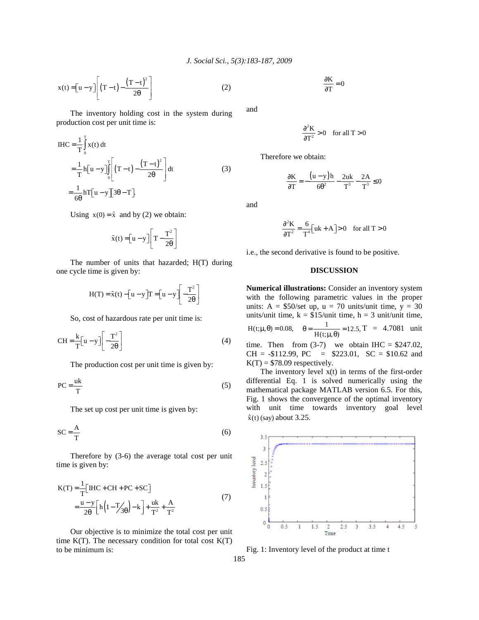$$
x(t) = \left[u - y\right] \left[\left(T - t\right) - \frac{\left(T - t\right)^{2}}{2\theta}\right] \tag{2}
$$

 The inventory holding cost in the system during production cost per unit time is:

$$
IHC = \frac{1}{T} \int_{0}^{T} x(t) dt
$$
  
=  $\frac{1}{T} h[u - y] \int_{0}^{T} \left[ (T - t) - \frac{(T - t)^{2}}{2\theta} \right] dt$  (3)  
=  $\frac{1}{6\theta} hT[u - y] \left[ 3\theta - T \right]$ 

Using  $x(0) = \tilde{x}$  and by (2) we obtain:

$$
\tilde{\mathbf{x}}(t) = \left[\mathbf{u} - \mathbf{y}\right] \left[\mathbf{T} - \frac{\mathbf{T}^2}{2\theta}\right]
$$

 The number of units that hazarded; H(T) during one cycle time is given by:

$$
H(T) = \tilde{x}(t) - \left[ u - y \right] T = \left[ u - y \right] \left[ -\frac{T^2}{2\theta} \right]
$$

So, cost of hazardous rate per unit time is:

$$
CH = \frac{k}{T} \left[ u - y \right] \left[ -\frac{T^2}{2\theta} \right] \tag{4}
$$

The production cost per unit time is given by:

$$
PC = \frac{uk}{T}
$$
 (5)

The set up cost per unit time is given by:

$$
SC = \frac{A}{T}
$$
 (6)

 Therefore by (3-6) the average total cost per unit time is given by:

$$
K(T) = \frac{1}{T} \Big[ \text{IHC} + \text{CH} + \text{PC} + \text{SC} \Big] = \frac{u - y}{2\theta} \Big[ h \Big( 1 - \frac{T}{3\theta} \Big) - k \Big] + \frac{uk}{T^2} + \frac{A}{T^2}
$$
(7)

 Our objective is to minimize the total cost per unit time  $K(T)$ . The necessary condition for total cost  $K(T)$ to be minimum is:

$$
\frac{\partial \mathbf{K}}{\partial \mathbf{T}} = 0
$$

and

$$
\frac{\partial^2 \mathbf{K}}{\partial \mathbf{T}^2} > 0 \quad \text{for all } \mathbf{T} > 0
$$

Therefore we obtain:

$$
\frac{\partial \mathbf{K}}{\partial \mathbf{T}} = -\frac{(\mathbf{u} - \mathbf{y})\mathbf{h}}{6\theta^2} - \frac{2\mathbf{u}\mathbf{k}}{\mathbf{T}^3} - \frac{2\mathbf{A}}{\mathbf{T}^3} \le 0
$$

and

$$
\frac{\partial^2 \mathbf{K}}{\partial \mathbf{T}^2} = \frac{6}{\mathbf{T}^4} \Big[ \mathbf{u} \mathbf{k} + \mathbf{A} \Big] > 0 \quad \text{for all } \mathbf{T} > 0
$$

i.e., the second derivative is found to be positive.

#### **DISCUSSION**

**Numerical illustrations:** Consider an inventory system with the following parametric values in the proper units:  $A = $50/\text{set up}, u = 70 \text{ units/unit time}, y = 30$ units/unit time,  $k = \frac{\hat{s}}{3}$ 15/unit time,  $h = 3$  unit/unit time,  $H(t; \mu, \theta) = 0.08$ ,  $\theta = \frac{1}{H(t;\mu,\theta)} = 12.5, T = 4.7081$  unit time. Then from  $(3-7)$  we obtain IHC = \$247.02,  $CH = -\$112.99$ ,  $PC = \$223.01$ ,  $SC = \$10.62$  and  $K(T) = $78.09$  respectively.

The inventory level  $x(t)$  in terms of the first-order differential Eq. 1 is solved numerically using the mathematical package MATLAB version 6.5. For this, Fig. 1 shows the convergence of the optimal inventory with unit time towards inventory goal level  $\hat{x}(t)$  (say) about 3.25.



Fig. 1: Inventory level of the product at time t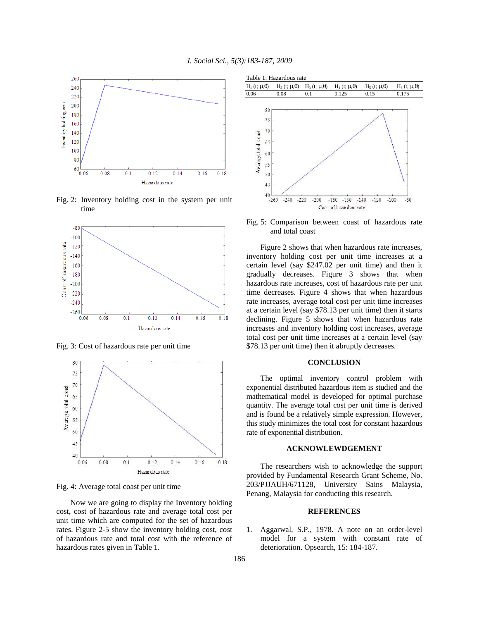

Fig. 2: Inventory holding cost in the system per unit time



Fig. 3: Cost of hazardous rate per unit time



Fig. 4: Average total coast per unit time

 Now we are going to display the Inventory holding cost, cost of hazardous rate and average total cost per unit time which are computed for the set of hazardous rates. Figure 2-5 show the inventory holding cost, cost of hazardous rate and total cost with the reference of hazardous rates given in Table 1.



Fig. 5: Comparison between coast of hazardous rate and total coast

 Figure 2 shows that when hazardous rate increases, inventory holding cost per unit time increases at a certain level (say \$247.02 per unit time) and then it gradually decreases. Figure 3 shows that when hazardous rate increases, cost of hazardous rate per unit time decreases. Figure 4 shows that when hazardous rate increases, average total cost per unit time increases at a certain level (say \$78.13 per unit time) then it starts declining. Figure 5 shows that when hazardous rate increases and inventory holding cost increases, average total cost per unit time increases at a certain level (say \$78.13 per unit time) then it abruptly decreases.

## **CONCLUSION**

 The optimal inventory control problem with exponential distributed hazardous item is studied and the mathematical model is developed for optimal purchase quantity. The average total cost per unit time is derived and is found be a relatively simple expression. However, this study minimizes the total cost for constant hazardous rate of exponential distribution.

#### **ACKNOWLEWDGEMENT**

 The researchers wish to acknowledge the support provided by Fundamental Research Grant Scheme, No. 203/PJJAUH/671128, University Sains Malaysia, Penang, Malaysia for conducting this research.

### **REFERENCES**

1. Aggarwal, S.P., 1978. A note on an order-level model for a system with constant rate of deterioration. Opsearch, 15: 184-187.